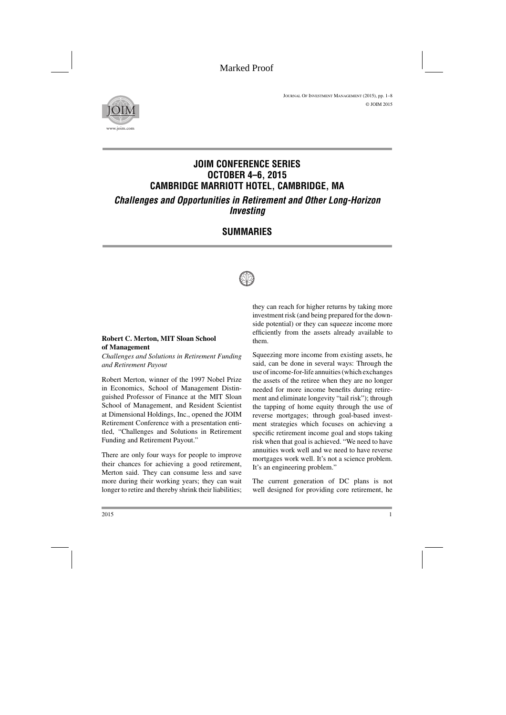

# **JOIM CONFERENCE SERIES OCTOBER 4–6, 2015 CAMBRIDGE MARRIOTT HOTEL, CAMBRIDGE, MA** *Challenges and Opportunities in Retirement and Other Long-Horizon*

*Investing*

## **SUMMARIES**



## **Robert C. Merton, MIT Sloan School of Management**

*Challenges and Solutions in Retirement Funding and Retirement Payout*

Robert Merton, winner of the 1997 Nobel Prize in Economics, School of Management Distinguished Professor of Finance at the MIT Sloan School of Management, and Resident Scientist at Dimensional Holdings, Inc., opened the JOIM Retirement Conference with a presentation entitled, "Challenges and Solutions in Retirement Funding and Retirement Payout."

There are only four ways for people to improve their chances for achieving a good retirement, Merton said. They can consume less and save more during their working years; they can wait longer to retire and thereby shrink their liabilities; they can reach for higher returns by taking more investment risk (and being prepared for the downside potential) or they can squeeze income more efficiently from the assets already available to them.

Squeezing more income from existing assets, he said, can be done in several ways: Through the use of income-for-life annuities (which exchanges the assets of the retiree when they are no longer needed for more income benefits during retirement and eliminate longevity "tail risk"); through the tapping of home equity through the use of reverse mortgages; through goal-based investment strategies which focuses on achieving a specific retirement income goal and stops taking risk when that goal is achieved. "We need to have annuities work well and we need to have reverse mortgages work well. It's not a science problem. It's an engineering problem."

The current generation of DC plans is not well designed for providing core retirement, he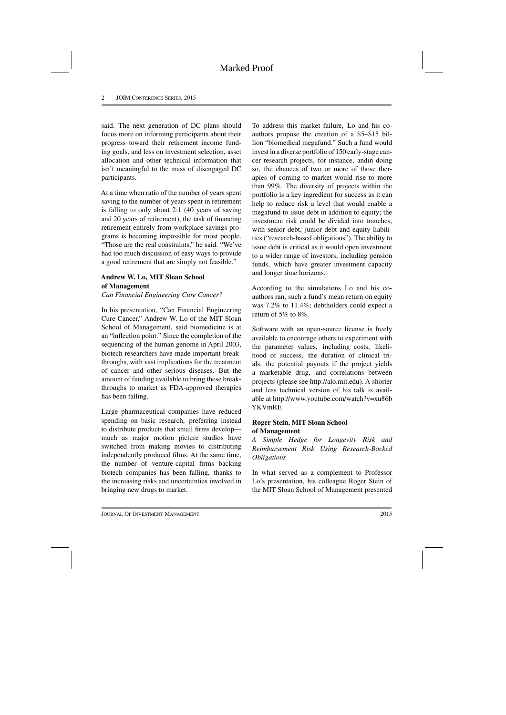said. The next generation of DC plans should focus more on informing participants about their progress toward their retirement income funding goals, and less on investment selection, asset allocation and other technical information that isn't meaningful to the mass of disengaged DC participants.

At a time when ratio of the number of years spent saving to the number of years spent in retirement is falling to only about 2:1 (40 years of saving and 20 years of retirement), the task of financing retirement entirely from workplace savings programs is becoming impossible for most people. "Those are the real constraints," he said. "We've had too much discussion of easy ways to provide a good retirement that are simply not feasible."

## **Andrew W. Lo, MIT Sloan School of Management**

*Can Financial Engineering Cure Cancer?*

In his presentation, "Can Financial Engineering Cure Cancer," Andrew W. Lo of the MIT Sloan School of Management, said biomedicine is at an "inflection point." Since the completion of the sequencing of the human genome in April 2003, biotech researchers have made important breakthroughs, with vast implications for the treatment of cancer and other serious diseases. But the amount of funding available to bring these breakthroughs to market as FDA-approved therapies has been falling.

Large pharmaceutical companies have reduced spending on basic research, preferring instead to distribute products that small firms develop much as major motion picture studios have switched from making movies to distributing independently produced films. At the same time, the number of venture-capital firms backing biotech companies has been falling, thanks to the increasing risks and uncertainties involved in bringing new drugs to market.

To address this market failure, Lo and his coauthors propose the creation of a \$5–\$15 billion "biomedical megafund." Such a fund would invest in a diverse portfolio of 150 early-stage cancer research projects, for instance, andin doing so, the chances of two or more of those therapies of coming to market would rise to more than 99%. The diversity of projects within the portfolio is a key ingredient for success as it can help to reduce risk a level that would enable a megafund to issue debt in addition to equity; the investment risk could be divided into tranches, with senior debt, junior debt and equity liabilities ("research-based obligations"). The ability to issue debt is critical as it would open investment to a wider range of investors, including pension funds, which have greater investment capacity and longer time horizons.

According to the simulations Lo and his coauthors ran, such a fund's mean return on equity was 7.2% to 11.4%; debtholders could expect a return of 5% to 8%.

Software with an open-source license is freely available to encourage others to experiment with the parameter values, including costs, likelihood of success, the duration of clinical trials, the potential payouts if the project yields a marketable drug, and correlations between projects (please see http://alo.mit.edu). A shorter and less technical version of his talk is available at http://www.youtube.com/watch?v=xu86b YKVmRE

## **Roger Stein, MIT Sloan School of Management**

*A Simple Hedge for Longevity Risk and Reimbursement Risk Using Research-Backed Obligations*

In what served as a complement to Professor Lo's presentation, his colleague Roger Stein of the MIT Sloan School of Management presented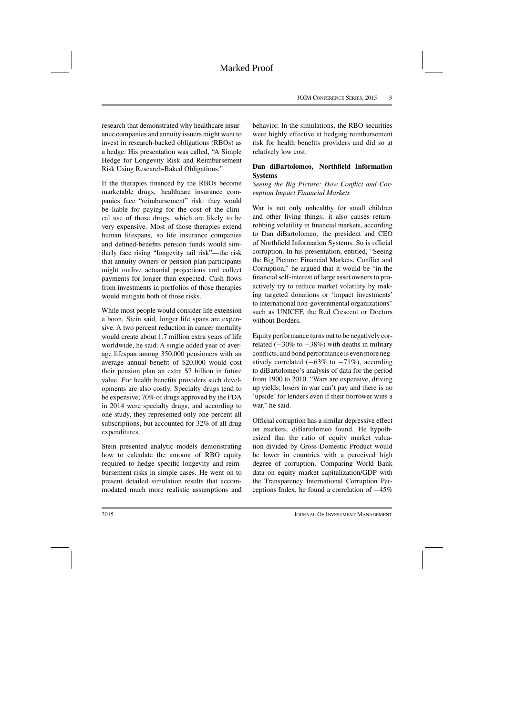research that demonstrated why healthcare insurance companies and annuity issuers might want to invest in research-backed obligations (RBOs) as a hedge. His presentation was called, "A Simple Hedge for Longevity Risk and Reimbursement Risk Using Research-Baked Obligations."

If the therapies financed by the RBOs become marketable drugs, healthcare insurance companies face "reimbursement" risk: they would be liable for paying for the cost of the clinical use of those drugs, which are likely to be very expensive. Most of those therapies extend human lifespans, so life insurance companies and defined-benefits pension funds would similarly face rising "longevity tail risk"—the risk that annuity owners or pension plan participants might outlive actuarial projections and collect payments for longer than expected. Cash flows from investments in portfolios of those therapies would mitigate both of those risks.

While most people would consider life extension a boon, Stein said, longer life spans are expensive. A two percent reduction in cancer mortality would create about 1.7 million extra years of life worldwide, he said. A single added year of average lifespan among 350,000 pensioners with an average annual benefit of \$20,000 would cost their pension plan an extra \$7 billion in future value. For health benefits providers such developments are also costly. Specialty drugs tend to be expensive; 70% of drugs approved by the FDA in 2014 were specialty drugs, and according to one study, they represented only one percent all subscriptions, but accounted for 32% of all drug expenditures.

Stein presented analytic models demonstrating how to calculate the amount of RBO equity required to hedge specific longevity and reimbursement risks in simple cases. He went on to present detailed simulation results that accommodated much more realistic assumptions and behavior. In the simulations, the RBO securities were highly effective at hedging reimbursement risk for health benefits providers and did so at relatively low cost.

## **Dan diBartolomeo, Northfield Information Systems**

*Seeing the Big Picture: How Conflict and Corruption Impact Financial Markets*

War is not only unhealthy for small children and other living things; it also causes returnrobbing volatility in financial markets, according to Dan diBartolomeo, the president and CEO of Northfield Information Systems. So is official corruption. In his presentation, entitled, "Seeing the Big Picture: Financial Markets, Conflict and Corruption," he argued that it would be "in the financial self-interest of large asset owners to proactively try to reduce market volatility by making targeted donations or 'impact investments' to international non-governmental organizations" such as UNICEF, the Red Crescent or Doctors without Borders.

Equity performance turns out to be negatively correlated  $(-30\% \text{ to } -38\%)$  with deaths in military conflicts, and bond performance is even more negatively correlated  $(-63\% \text{ to } -71\%)$ , according to diBartolomeo's analysis of data for the period from 1900 to 2010. "Wars are expensive, driving up yields; losers in war can't pay and there is no 'upside' for lenders even if their borrower wins a war." he said.

Official corruption has a similar depressive effect on markets, diBartolomeo found. He hypothesized that the ratio of equity market valuation divided by Gross Domestic Product would be lower in countries with a perceived high degree of corruption. Comparing World Bank data on equity market capitalization/GDP with the Transparency International Corruption Perceptions Index, he found a correlation of −45%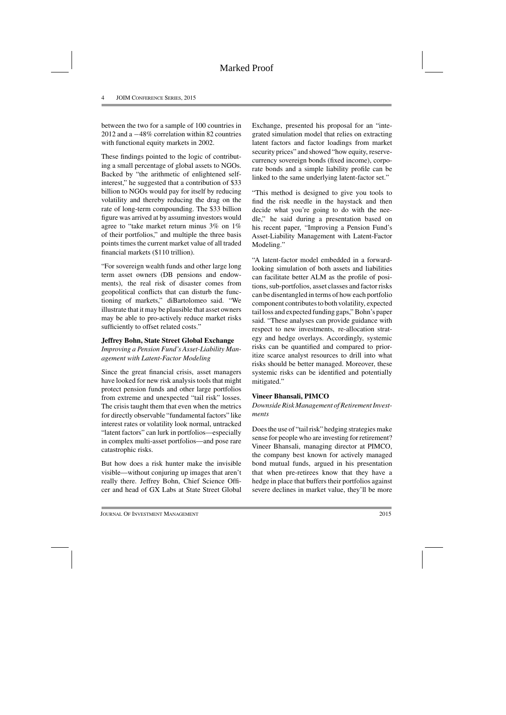between the two for a sample of 100 countries in 2012 and a −48% correlation within 82 countries with functional equity markets in 2002.

These findings pointed to the logic of contributing a small percentage of global assets to NGOs. Backed by "the arithmetic of enlightened selfinterest," he suggested that a contribution of \$33 billion to NGOs would pay for itself by reducing volatility and thereby reducing the drag on the rate of long-term compounding. The \$33 billion figure was arrived at by assuming investors would agree to "take market return minus 3% on 1% of their portfolios," and multiple the three basis points times the current market value of all traded financial markets (\$110 trillion).

"For sovereign wealth funds and other large long term asset owners (DB pensions and endowments), the real risk of disaster comes from geopolitical conflicts that can disturb the functioning of markets," diBartolomeo said. "We illustrate that it may be plausible that asset owners may be able to pro-actively reduce market risks sufficiently to offset related costs."

#### **Jeffrey Bohn, State Street Global Exchange**

*Improving a Pension Fund's Asset-Liability Management with Latent-Factor Modeling*

Since the great financial crisis, asset managers have looked for new risk analysis tools that might protect pension funds and other large portfolios from extreme and unexpected "tail risk" losses. The crisis taught them that even when the metrics for directly observable "fundamental factors" like interest rates or volatility look normal, untracked "latent factors" can lurk in portfolios—especially in complex multi-asset portfolios—and pose rare catastrophic risks.

But how does a risk hunter make the invisible visible—without conjuring up images that aren't really there. Jeffrey Bohn, Chief Science Officer and head of GX Labs at State Street Global

Exchange, presented his proposal for an "integrated simulation model that relies on extracting latent factors and factor loadings from market security prices" and showed "how equity, reservecurrency sovereign bonds (fixed income), corporate bonds and a simple liability profile can be linked to the same underlying latent-factor set."

"This method is designed to give you tools to find the risk needle in the haystack and then decide what you're going to do with the needle," he said during a presentation based on his recent paper, "Improving a Pension Fund's Asset-Liability Management with Latent-Factor Modeling."

"A latent-factor model embedded in a forwardlooking simulation of both assets and liabilities can facilitate better ALM as the profile of positions, sub-portfolios, asset classes and factor risks can be disentangled in terms of how each portfolio component contributes to both volatility, expected tail loss and expected funding gaps," Bohn's paper said. "These analyses can provide guidance with respect to new investments, re-allocation strategy and hedge overlays. Accordingly, systemic risks can be quantified and compared to prioritize scarce analyst resources to drill into what risks should be better managed. Moreover, these systemic risks can be identified and potentially mitigated."

## **Vineer Bhansali, PIMCO**

#### *Downside Risk Management of Retirement Investments*

Does the use of "tail risk" hedging strategies make sense for people who are investing for retirement? Vineer Bhansali, managing director at PIMCO, the company best known for actively managed bond mutual funds, argued in his presentation that when pre-retirees know that they have a hedge in place that buffers their portfolios against severe declines in market value, they'll be more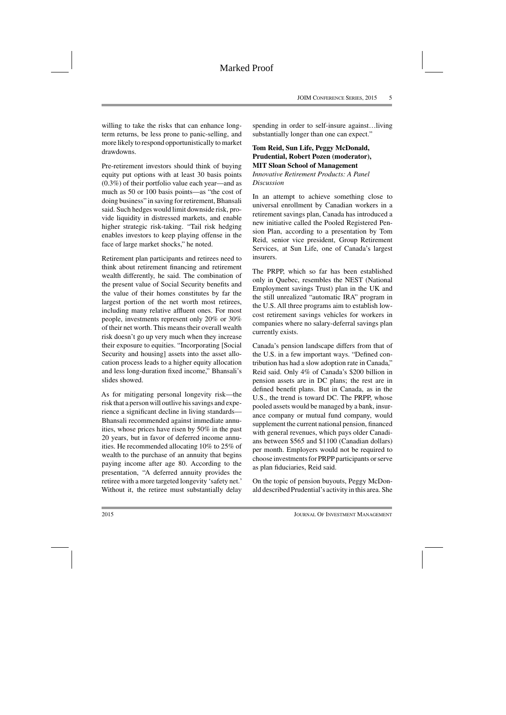willing to take the risks that can enhance longterm returns, be less prone to panic-selling, and more likely to respond opportunistically to market drawdowns.

Pre-retirement investors should think of buying equity put options with at least 30 basis points (0.3%) of their portfolio value each year—and as much as 50 or 100 basis points—as "the cost of doing business" in saving for retirement, Bhansali said. Such hedges would limit downside risk, provide liquidity in distressed markets, and enable higher strategic risk-taking. "Tail risk hedging enables investors to keep playing offense in the face of large market shocks," he noted.

Retirement plan participants and retirees need to think about retirement financing and retirement wealth differently, he said. The combination of the present value of Social Security benefits and the value of their homes constitutes by far the largest portion of the net worth most retirees, including many relative affluent ones. For most people, investments represent only 20% or 30% of their net worth. This means their overall wealth risk doesn't go up very much when they increase their exposure to equities. "Incorporating [Social Security and housing] assets into the asset allocation process leads to a higher equity allocation and less long-duration fixed income," Bhansali's slides showed.

As for mitigating personal longevity risk—the risk that a person will outlive his savings and experience a significant decline in living standards— Bhansali recommended against immediate annuities, whose prices have risen by 50% in the past 20 years, but in favor of deferred income annuities. He recommended allocating 10% to 25% of wealth to the purchase of an annuity that begins paying income after age 80. According to the presentation, "A deferred annuity provides the retiree with a more targeted longevity 'safety net.' Without it, the retiree must substantially delay spending in order to self-insure against…living substantially longer than one can expect."

#### **Tom Reid, Sun Life, Peggy McDonald, Prudential, Robert Pozen (moderator), MIT Sloan School of Management** *Innovative Retirement Products: A Panel Discussion*

In an attempt to achieve something close to universal enrollment by Canadian workers in a retirement savings plan, Canada has introduced a new initiative called the Pooled Registered Pension Plan, according to a presentation by Tom Reid, senior vice president, Group Retirement Services, at Sun Life, one of Canada's largest insurers.

The PRPP, which so far has been established only in Quebec, resembles the NEST (National Employment savings Trust) plan in the UK and the still unrealized "automatic IRA" program in the U.S. All three programs aim to establish lowcost retirement savings vehicles for workers in companies where no salary-deferral savings plan currently exists.

Canada's pension landscape differs from that of the U.S. in a few important ways. "Defined contribution has had a slow adoption rate in Canada," Reid said. Only 4% of Canada's \$200 billion in pension assets are in DC plans; the rest are in defined benefit plans. But in Canada, as in the U.S., the trend is toward DC. The PRPP, whose pooled assets would be managed by a bank, insurance company or mutual fund company, would supplement the current national pension, financed with general revenues, which pays older Canadians between \$565 and \$1100 (Canadian dollars) per month. Employers would not be required to choose investments for PRPP participants or serve as plan fiduciaries, Reid said.

On the topic of pension buyouts, Peggy McDonald described Prudential's activity in this area. She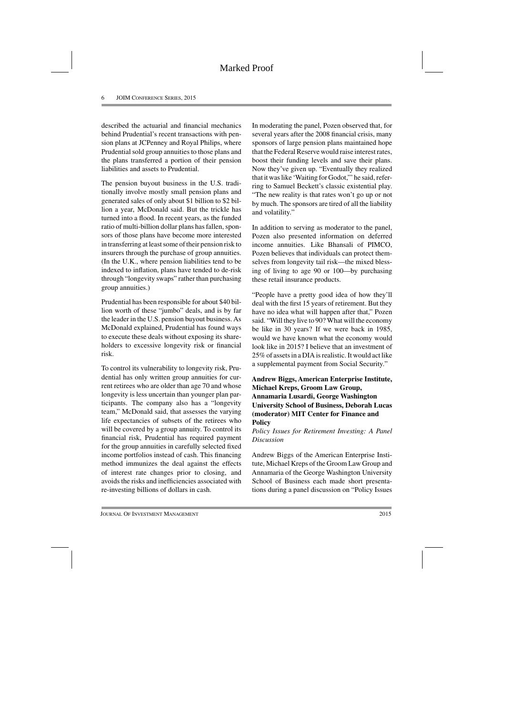described the actuarial and financial mechanics behind Prudential's recent transactions with pension plans at JCPenney and Royal Philips, where Prudential sold group annuities to those plans and the plans transferred a portion of their pension liabilities and assets to Prudential.

The pension buyout business in the U.S. traditionally involve mostly small pension plans and generated sales of only about \$1 billion to \$2 billion a year, McDonald said. But the trickle has turned into a flood. In recent years, as the funded ratio of multi-billion dollar plans has fallen, sponsors of those plans have become more interested in transferring at least some of their pension risk to insurers through the purchase of group annuities. (In the U.K., where pension liabilities tend to be indexed to inflation, plans have tended to de-risk through "longevity swaps" rather than purchasing group annuities.)

Prudential has been responsible for about \$40 billion worth of these "jumbo" deals, and is by far the leader in the U.S. pension buyout business. As McDonald explained, Prudential has found ways to execute these deals without exposing its shareholders to excessive longevity risk or financial risk.

To control its vulnerability to longevity risk, Prudential has only written group annuities for current retirees who are older than age 70 and whose longevity is less uncertain than younger plan participants. The company also has a "longevity team," McDonald said, that assesses the varying life expectancies of subsets of the retirees who will be covered by a group annuity. To control its financial risk, Prudential has required payment for the group annuities in carefully selected fixed income portfolios instead of cash. This financing method immunizes the deal against the effects of interest rate changes prior to closing, and avoids the risks and inefficiencies associated with re-investing billions of dollars in cash.

In moderating the panel, Pozen observed that, for several years after the 2008 financial crisis, many sponsors of large pension plans maintained hope that the Federal Reserve would raise interest rates, boost their funding levels and save their plans. Now they've given up. "Eventually they realized that it was like 'Waiting for Godot,"'he said, referring to Samuel Beckett's classic existential play. "The new reality is that rates won't go up or not by much. The sponsors are tired of all the liability and volatility."

In addition to serving as moderator to the panel, Pozen also presented information on deferred income annuities. Like Bhansali of PIMCO, Pozen believes that individuals can protect themselves from longevity tail risk—the mixed blessing of living to age 90 or 100—by purchasing these retail insurance products.

"People have a pretty good idea of how they'll deal with the first 15 years of retirement. But they have no idea what will happen after that," Pozen said. "Will they live to 90? What will the economy be like in 30 years? If we were back in 1985, would we have known what the economy would look like in 2015? I believe that an investment of 25% of assets in a DIA is realistic. It would act like a supplemental payment from Social Security."

## **Andrew Biggs, American Enterprise Institute, Michael Kreps, Groom Law Group, Annamaria Lusardi, George Washington University School of Business, Deborah Lucas (moderator) MIT Center for Finance and Policy**

*Policy Issues for Retirement Investing: A Panel Discussion*

Andrew Biggs of the American Enterprise Institute, Michael Kreps of the Groom Law Group and Annamaria of the George Washington University School of Business each made short presentations during a panel discussion on "Policy Issues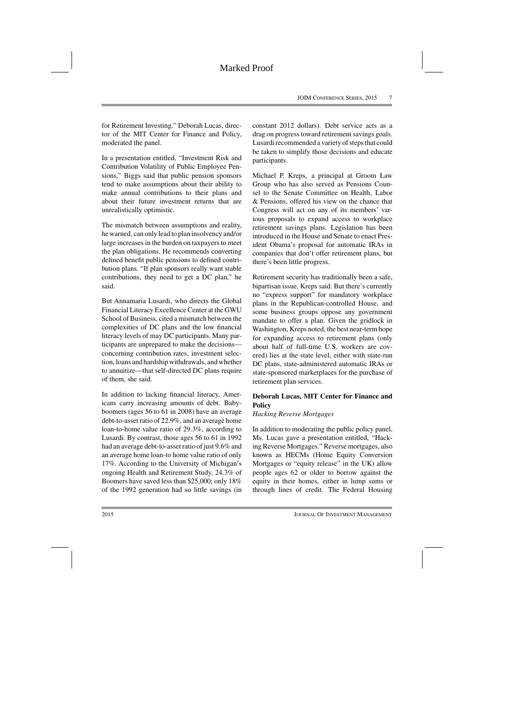for Retirement Investing." Deborah Lucas, director of the MIT Center for Finance and Policy, moderated the panel.

In a presentation entitled, "Investment Risk and Contribution Volatility of Public Employee Pensions," Biggs said that public pension sponsors tend to make assumptions about their ability to make annual contributions to their plans and about their future investment returns that are unrealistically optimistic.

The mismatch between assumptions and reality, he warned, can only lead to plan insolvency and/or large increases in the burden on taxpayers to meet the plan obligations. He recommends converting defined benefit public pensions to defined contribution plans. "If plan sponsors really want stable contributions, they need to get a DC plan," he said.

But Annamaria Lusardi, who directs the Global Financial Literacy Excellence Center at the GWU School of Business, cited a mismatch between the complexities of DC plans and the low financial literacy levels of may DC participants. Many participants are unprepared to make the decisions concerning contribution rates, investment selection, loans and hardship withdrawals, and whether to annuitize—that self-directed DC plans require of them, she said.

In addition to lacking financial literacy, Americans carry increasing amounts of debt. Babyboomers (ages 56 to 61 in 2008) have an average debt-to-asset ratio of 22.9%, and an average home loan-to-home value ratio of 29.3%, according to Lusardi. By contrast, those ages 56 to 61 in 1992 had an average debt-to-asset ratio of just 9.6% and an average home loan-to home value ratio of only 17%. According to the University of Michigan's ongoing Health and Retirement Study, 24.3% of Boomers have saved less than \$25,000; only 18% of the 1992 generation had so little savings (in constant 2012 dollars). Debt service acts as a drag on progress toward retirement savings goals. Lusardi recommended a variety of steps that could be taken to simplify those decisions and educate participants.

Michael P. Kreps, a principal at Groom Law Group who has also served as Pensions Counsel to the Senate Committee on Health, Labor & Pensions, offered his view on the chance that Congress will act on any of its members' various proposals to expand access to workplace retirement savings plans. Legislation has been introduced in the House and Senate to enact President Obama's proposal for automatic IRAs in companies that don't offer retirement plans, but there's been little progress.

Retirement security has traditionally been a safe, bipartisan issue, Kreps said. But there's currently no "express support" for mandatory workplace plans in the Republican-controlled House, and some business groups oppose any government mandate to offer a plan. Given the gridlock in Washington, Kreps noted, the best near-term hope for expanding access to retirement plans (only about half of full-time U.S. workers are covered) lies at the state level, either with state-run DC plans, state-administered automatic IRAs or state-sponsored marketplaces for the purchase of retirement plan services.

## **Deborah Lucas, MIT Center for Finance and Policy**

*Hacking Reverse Mortgages*

In addition to moderating the public policy panel, Ms. Lucas gave a presentation entitled, "Hacking Reverse Mortgages." Reverse mortgages, also known as HECMs (Home Equity Conversion Mortgages or "equity release" in the UK) allow people ages 62 or older to borrow against the equity in their homes, either in lump sums or through lines of credit. The Federal Housing